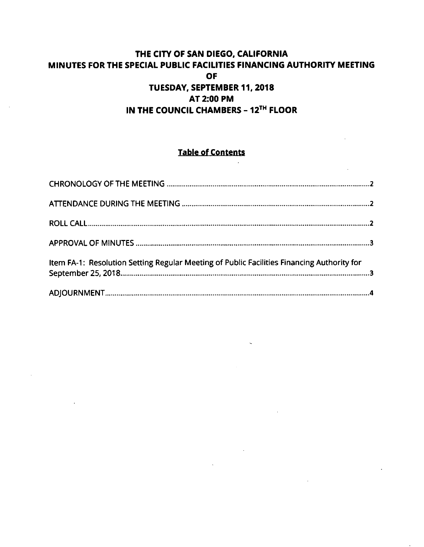# **THE CITY OF SAN DIEGO, CALIFORNIA MINUTES FOR THE SPECIAL PUBLIC FACILITIES FINANCING AUTHORITY MEETING OF TUESDAY, SEPTEMBER 11, 2018 AT 2:00 PM IN THE COUNCIL CHAMBERS - 12™ FLOOR**

# **Table of Contents**

 $\overline{a}$ 

| Item FA-1: Resolution Setting Regular Meeting of Public Facilities Financing Authority for |  |
|--------------------------------------------------------------------------------------------|--|
|                                                                                            |  |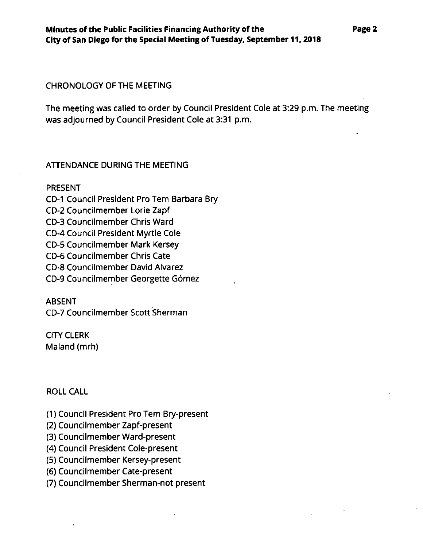### CHRONOLOGY OF THE MEETING

The meeting was called to order by Council President Cole at 3:29 p.m. The meeting was adjourned by Council President Cole at 3:31 p.m.

# ATTENDANCE DURING THE MEETING

#### PRESENT

CD-I Council President Pro Tern Barbara Bry CD-2 Councilmember Lorie Zapf CD-3 Councilmember Chris Ward CD-4 Council President Myrtle Cole CD-5 Councilmember Mark Kersey CD-6 Councilmember Chris Cate CD-8 Councilmember David Alvarez CD-9 Councilmember Georgette G6mez

#### **ABSENT**

CD-7 Councilmember Scott Sherman

# CITY CLERK Maland (mrh)

## ROLL CALL

- (1) Council President Pro Tern Bry-present
- (2) Councilmember Zapf-present
- (3) Councilmember Ward-present
- (4) Council President Cole-present
- (5) Councilmember Kersey-present
- (6) Councilmember Cate-present
- (7) Councilmember Sherman-not present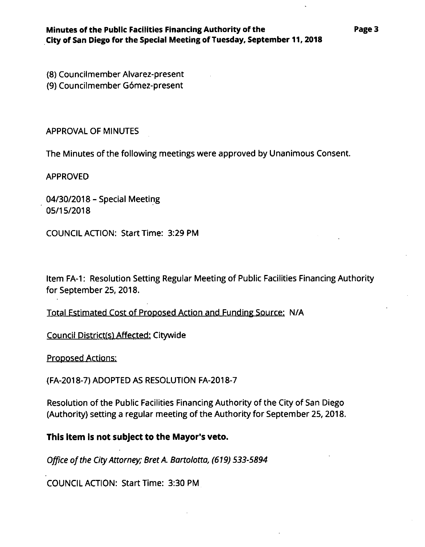(8) Councilmember Alvarez-present

(9) Councilmember Gdmez-present

APPROVAL OF MINUTES

The Minutes of the following meetings were approved by Unanimous Consent.

APPROVED

04/30/2018 - Special Meeting 05/15/2018

COUNCIL ACTION: Start Time: 3:29 PM

Item FA-1: Resolution Setting Regular Meeting of Public Facilities Financing Authority for September 25,2018.

Total Estimated Cost of Proposed Action and Funding Source: N/A

Council District(s) Affected: Citywide

Proposed Actions:

(FA-2018-7) ADOPTED AS RESOLUTION FA-2018-7

Resolution of the Public Facilities Financing Authority of the City of San Diego (Authority) setting a regular meeting of the Authority for September 25,2018.

**This item is not subject to the Mayor's veto.**

*Office ofthe CityAttorney; BretA. Bartolotta, (619) 533-5894*

COUNCIL ACTION: Start Time: 3:30 PM